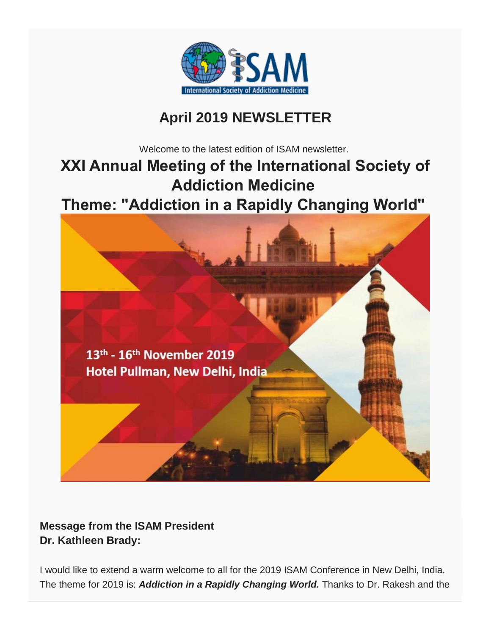

# **April 2019 NEWSLETTER**

Welcome to the latest edition of ISAM newsletter.

# **XXI Annual Meeting of the International Society of Addiction Medicine**

**Theme: "Addiction in a Rapidly Changing World"**



#### **Message from the ISAM President Dr. Kathleen Brady:**

I would like to extend a warm welcome to all for the 2019 ISAM Conference in New Delhi, India. The theme for 2019 is: *Addiction in a Rapidly Changing World.* Thanks to Dr. Rakesh and the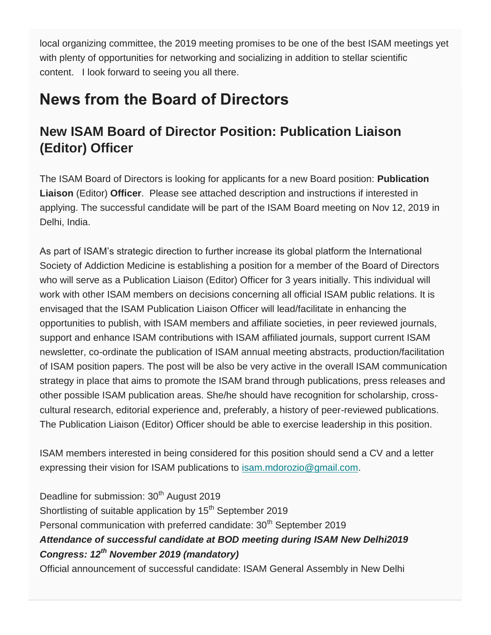local organizing committee, the 2019 meeting promises to be one of the best ISAM meetings yet with plenty of opportunities for networking and socializing in addition to stellar scientific content. I look forward to seeing you all there.

# **News from the Board of Directors**

#### **New ISAM Board of Director Position: Publication Liaison (Editor) Officer**

The ISAM Board of Directors is looking for applicants for a new Board position: **Publication Liaison** (Editor) **Officer**. Please see attached description and instructions if interested in applying. The successful candidate will be part of the ISAM Board meeting on Nov 12, 2019 in Delhi, India.

As part of ISAM's strategic direction to further increase its global platform the International Society of Addiction Medicine is establishing a position for a member of the Board of Directors who will serve as a Publication Liaison (Editor) Officer for 3 years initially. This individual will work with other ISAM members on decisions concerning all official ISAM public relations. It is envisaged that the ISAM Publication Liaison Officer will lead/facilitate in enhancing the opportunities to publish, with ISAM members and affiliate societies, in peer reviewed journals, support and enhance ISAM contributions with ISAM affiliated journals, support current ISAM newsletter, co-ordinate the publication of ISAM annual meeting abstracts, production/facilitation of ISAM position papers. The post will be also be very active in the overall ISAM communication strategy in place that aims to promote the ISAM brand through publications, press releases and other possible ISAM publication areas. She/he should have recognition for scholarship, crosscultural research, editorial experience and, preferably, a history of peer-reviewed publications. The Publication Liaison (Editor) Officer should be able to exercise leadership in this position.

ISAM members interested in being considered for this position should send a CV and a letter expressing their vision for ISAM publications to [isam.mdorozio@gmail.com.](mailto:isam.mdorozio@gmail.com)

Deadline for submission: 30<sup>th</sup> August 2019 Shortlisting of suitable application by 15<sup>th</sup> September 2019 Personal communication with preferred candidate: 30<sup>th</sup> September 2019 *Attendance of successful candidate at BOD meeting during ISAM New Delhi2019 Congress: 12th November 2019 (mandatory)* Official announcement of successful candidate: ISAM General Assembly in New Delhi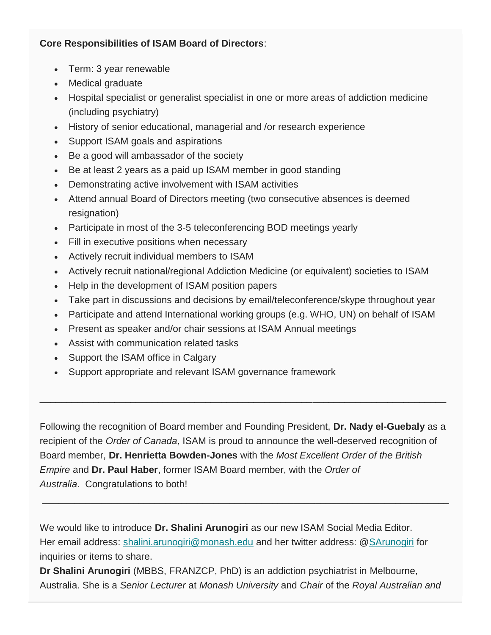#### **Core Responsibilities of ISAM Board of Directors**:

- Term: 3 year renewable
- Medical graduate
- Hospital specialist or generalist specialist in one or more areas of addiction medicine (including psychiatry)
- History of senior educational, managerial and /or research experience
- Support ISAM goals and aspirations
- Be a good will ambassador of the society
- Be at least 2 years as a paid up ISAM member in good standing
- Demonstrating active involvement with ISAM activities
- Attend annual Board of Directors meeting (two consecutive absences is deemed resignation)
- Participate in most of the 3-5 teleconferencing BOD meetings yearly
- Fill in executive positions when necessary
- Actively recruit individual members to ISAM
- Actively recruit national/regional Addiction Medicine (or equivalent) societies to ISAM
- Help in the development of ISAM position papers
- Take part in discussions and decisions by email/teleconference/skype throughout year
- Participate and attend International working groups (e.g. WHO, UN) on behalf of ISAM
- Present as speaker and/or chair sessions at ISAM Annual meetings
- Assist with communication related tasks
- Support the ISAM office in Calgary
- Support appropriate and relevant ISAM governance framework

Following the recognition of Board member and Founding President, **Dr. Nady el-Guebaly** as a recipient of the *Order of Canada*, ISAM is proud to announce the well-deserved recognition of Board member, **Dr. Henrietta Bowden-Jones** with the *Most Excellent Order of the British Empire* and **Dr. Paul Haber**, former ISAM Board member, with the *Order of Australia*. Congratulations to both!

\_\_\_\_\_\_\_\_\_\_\_\_\_\_\_\_\_\_\_\_\_\_\_\_\_\_\_\_\_\_\_\_\_\_\_\_\_\_\_\_\_\_\_\_\_\_\_\_\_\_\_\_\_\_\_\_\_\_\_\_\_\_\_\_\_\_\_\_\_\_\_\_\_\_\_\_

\_\_\_\_\_\_\_\_\_\_\_\_\_\_\_\_\_\_\_\_\_\_\_\_\_\_\_\_\_\_\_\_\_\_\_\_\_\_\_\_\_\_\_\_\_\_\_\_\_\_\_\_\_\_\_\_\_\_\_\_\_\_\_\_\_\_\_\_\_\_\_\_\_\_\_\_

We would like to introduce **Dr. Shalini Arunogiri** as our new ISAM Social Media Editor. Her email address: [shalini.arunogiri@monash.edu](mailto:shalini.arunogiri@monash.edu) and her twitter address: [@SArunogiri](https://twitter.com/SArunogiri) for inquiries or items to share.

**Dr Shalini Arunogiri** (MBBS, FRANZCP, PhD) is an addiction psychiatrist in Melbourne, Australia. She is a *Senior Lecturer* at *Monash University* and *Chair* of the *Royal Australian and*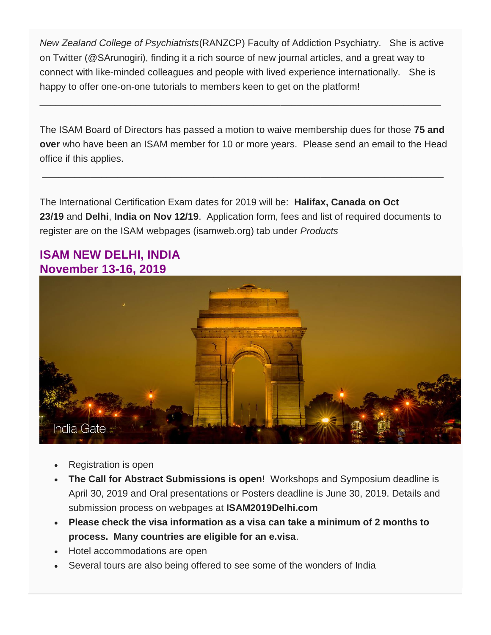*New Zealand College of Psychiatrists*(RANZCP) Faculty of Addiction Psychiatry. She is active on Twitter (@SArunogiri), finding it a rich source of new journal articles, and a great way to connect with like-minded colleagues and people with lived experience internationally. She is happy to offer one-on-one tutorials to members keen to get on the platform!

\_\_\_\_\_\_\_\_\_\_\_\_\_\_\_\_\_\_\_\_\_\_\_\_\_\_\_\_\_\_\_\_\_\_\_\_\_\_\_\_\_\_\_\_\_\_\_\_\_\_\_\_\_\_\_\_\_\_\_\_\_\_\_\_\_\_\_\_\_\_\_\_\_\_\_

The ISAM Board of Directors has passed a motion to waive membership dues for those **75 and over** who have been an ISAM member for 10 or more years. Please send an email to the Head office if this applies.

\_\_\_\_\_\_\_\_\_\_\_\_\_\_\_\_\_\_\_\_\_\_\_\_\_\_\_\_\_\_\_\_\_\_\_\_\_\_\_\_\_\_\_\_\_\_\_\_\_\_\_\_\_\_\_\_\_\_\_\_\_\_\_\_\_\_\_\_\_\_\_\_\_\_\_

The International Certification Exam dates for 2019 will be: **Halifax, Canada on Oct 23/19** and **Delhi**, **India on Nov 12/19**. Application form, fees and list of required documents to register are on the ISAM webpages (isamweb.org) tab under *Products*

#### **ISAM NEW DELHI, INDIA November 13-16, 2019**



- Registration is open
- **The Call for Abstract Submissions is open!** Workshops and Symposium deadline is April 30, 2019 and Oral presentations or Posters deadline is June 30, 2019. Details and submission process on webpages at **ISAM2019Delhi.com**
- **Please check the visa information as a visa can take a minimum of 2 months to process. Many countries are eligible for an e.visa**.
- Hotel accommodations are open
- Several tours are also being offered to see some of the wonders of India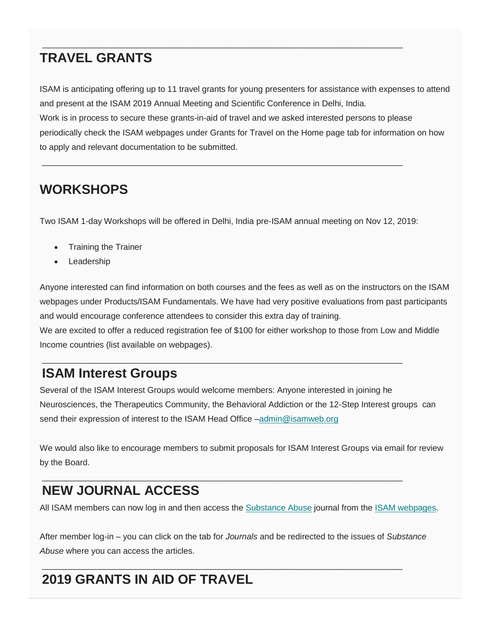#### **TRAVEL GRANTS**

ISAM is anticipating offering up to 11 travel grants for young presenters for assistance with expenses to attend and present at the ISAM 2019 Annual Meeting and Scientific Conference in Delhi, India. Work is in process to secure these grants-in-aid of travel and we asked interested persons to please periodically check the ISAM webpages under Grants for Travel on the Home page tab for information on how to apply and relevant documentation to be submitted.

 $\Box \Box \Box \Box \Box \Box \Box$ 

#### **WORKSHOPS**

Two ISAM 1-day Workshops will be offered in Delhi, India pre-ISAM annual meeting on Nov 12, 2019:

\_\_\_\_\_\_\_\_\_\_\_\_\_\_\_\_\_\_\_\_\_\_\_\_\_\_\_\_\_\_\_\_\_\_\_\_\_\_\_\_\_\_\_\_\_\_\_\_\_\_\_\_\_\_\_\_\_\_\_\_\_\_\_\_\_\_\_\_\_\_\_\_\_\_\_\_\_

- Training the Trainer
- Leadership

Anyone interested can find information on both courses and the fees as well as on the instructors on the ISAM webpages under Products/ISAM Fundamentals. We have had very positive evaluations from past participants and would encourage conference attendees to consider this extra day of training. We are excited to offer a reduced registration fee of \$100 for either workshop to those from Low and Middle

Income countries (list available on webpages).

#### **ISAM Interest Groups**

Several of the ISAM Interest Groups would welcome members: Anyone interested in joining he Neurosciences, the Therapeutics Community, the Behavioral Addiction or the 12-Step Interest groups can send their expression of interest to the ISAM Head Office -admin@isamweb.org

\_\_\_\_\_\_\_\_\_\_\_\_\_\_\_\_\_\_\_\_\_\_\_\_\_\_\_\_\_\_\_\_\_\_\_\_\_\_\_\_\_\_\_\_\_\_\_\_\_\_\_\_\_\_\_\_\_\_\_\_\_\_\_\_\_\_\_\_\_\_\_\_\_\_\_\_\_

We would also like to encourage members to submit proposals for ISAM Interest Groups via email for review by the Board.

## **NEW JOURNAL ACCESS**

All ISAM members can now log in and then access the [Substance Abuse](https://www.tandfonline.com/loi/wsub20) journal from the [ISAM webpages.](https://isamweb.org/)

\_\_\_\_\_\_\_\_\_\_\_\_\_\_\_\_\_\_\_\_\_\_\_\_\_\_\_\_\_\_\_\_\_\_\_\_\_\_\_\_\_\_\_\_\_\_\_\_\_\_\_\_\_\_\_\_\_\_\_\_\_\_\_\_\_\_\_\_\_\_\_\_\_\_\_\_\_

After member log-in – you can click on the tab for *Journals* and be redirected to the issues of *Substance Abuse* where you can access the articles.

\_\_\_\_\_\_\_\_\_\_\_\_\_\_\_\_\_\_\_\_\_\_\_\_\_\_\_\_\_\_\_\_\_\_\_\_\_\_\_\_\_\_\_\_\_\_\_\_\_\_\_\_\_\_\_\_\_\_\_\_\_\_\_\_\_\_\_\_\_\_\_\_\_\_\_\_\_

## **2019 GRANTS IN AID OF TRAVEL**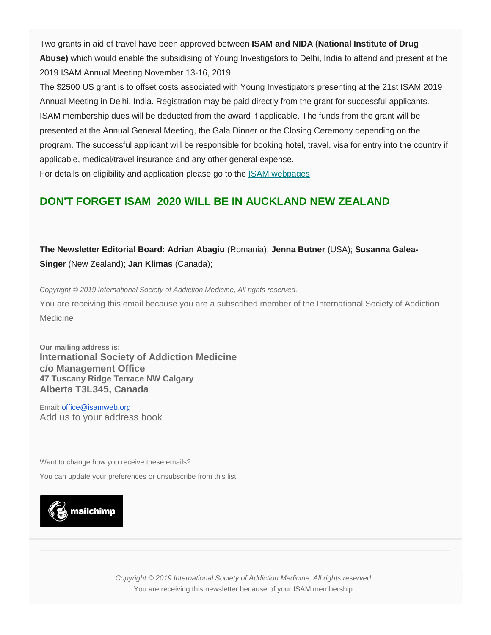Two grants in aid of travel have been approved between **ISAM and NIDA (National Institute of Drug Abuse)** which would enable the subsidising of Young Investigators to Delhi, India to attend and present at the 2019 ISAM Annual Meeting November 13-16, 2019

The \$2500 US grant is to offset costs associated with Young Investigators presenting at the 21st ISAM 2019 Annual Meeting in Delhi, India. Registration may be paid directly from the grant for successful applicants. ISAM membership dues will be deducted from the award if applicable. The funds from the grant will be presented at the Annual General Meeting, the Gala Dinner or the Closing Ceremony depending on the program. The successful applicant will be responsible for booking hotel, travel, visa for entry into the country if applicable, medical/travel insurance and any other general expense.

For details on eligibility and application please go to the [ISAM webpages](https://isamweb.org/)

#### **DON'T FORGET ISAM 2020 WILL BE IN AUCKLAND NEW ZEALAND**

**The Newsletter Editorial Board: Adrian Abagiu** (Romania); **Jenna Butner** (USA); **Susanna Galea-Singer** (New Zealand); **Jan Klimas** (Canada);

*Copyright © 2019 International Society of Addiction Medicine, All rights reserved.*

You are receiving this email because you are a subscribed member of the International Society of Addiction Medicine

**Our mailing address is: International Society of Addiction Medicine c/o Management Office 47 Tuscany Ridge Terrace NW Calgary Alberta T3L345, Canada**

Email: [office@isamweb.org](mailto:office@isamweb.org) [Add us to your address book](http://isamweb.us12.list-manage.com/vcard?u=a73ea8b19b4d7f762faae5475&id=4f4a1eab4c)

Want to change how you receive these emails?

You can [update your preferences](http://isamweb.us12.list-manage1.com/profile?u=a73ea8b19b4d7f762faae5475&id=4f4a1eab4c&e=%5bUNIQID%5d) or [unsubscribe from this list](http://isamweb.us12.list-manage.com/unsubscribe?u=a73ea8b19b4d7f762faae5475&id=4f4a1eab4c&e=%5bUNIQID%5d&c=de11362b3e)



*Copyright © 2019 International Society of Addiction Medicine, All rights reserved.* You are receiving this newsletter because of your ISAM membership.